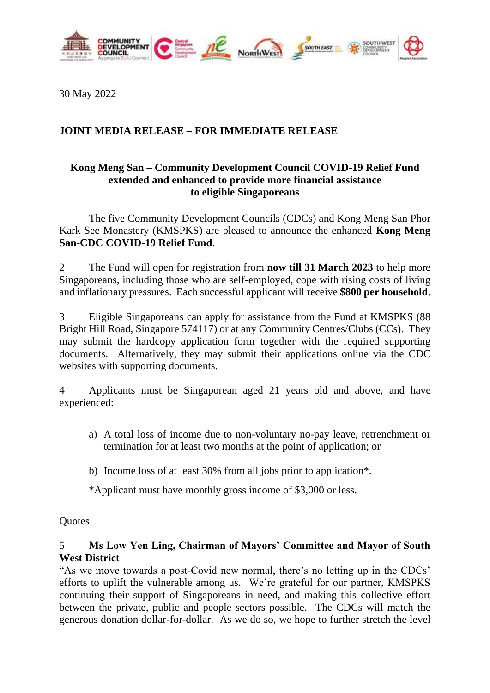

30 May 2022

# **JOINT MEDIA RELEASE – FOR IMMEDIATE RELEASE**

### **Kong Meng San – Community Development Council COVID-19 Relief Fund extended and enhanced to provide more financial assistance to eligible Singaporeans**

The five Community Development Councils (CDCs) and Kong Meng San Phor Kark See Monastery (KMSPKS) are pleased to announce the enhanced **Kong Meng San-CDC COVID-19 Relief Fund**.

2 The Fund will open for registration from **now till 31 March 2023** to help more Singaporeans, including those who are self-employed, cope with rising costs of living and inflationary pressures. Each successful applicant will receive **\$800 per household**.

3 Eligible Singaporeans can apply for assistance from the Fund at KMSPKS (88 Bright Hill Road, Singapore 574117) or at any Community Centres/Clubs (CCs). They may submit the hardcopy application form together with the required supporting documents. Alternatively, they may submit their applications online via the CDC websites with supporting documents.

4 Applicants must be Singaporean aged 21 years old and above, and have experienced:

- a) A total loss of income due to non-voluntary no-pay leave, retrenchment or termination for at least two months at the point of application; or
- b) Income loss of at least 30% from all jobs prior to application\*.

\*Applicant must have monthly gross income of \$3,000 or less.

### **Quotes**

## 5 **Ms Low Yen Ling, Chairman of Mayors' Committee and Mayor of South West District**

"As we move towards a post-Covid new normal, there's no letting up in the CDCs' efforts to uplift the vulnerable among us. We're grateful for our partner, KMSPKS continuing their support of Singaporeans in need, and making this collective effort between the private, public and people sectors possible. The CDCs will match the generous donation dollar-for-dollar. As we do so, we hope to further stretch the level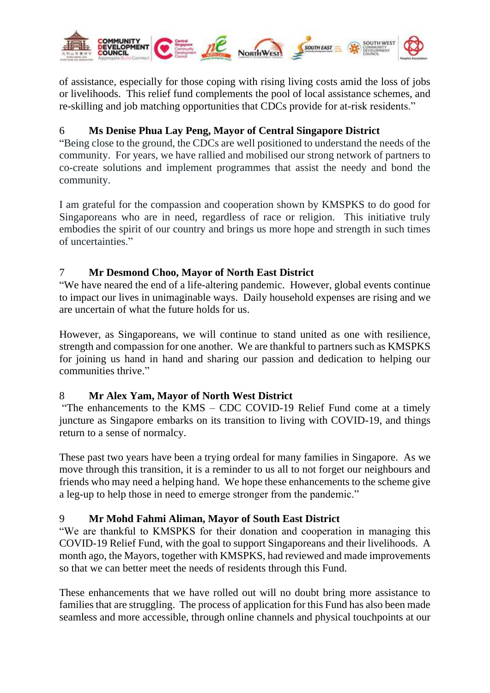

of assistance, especially for those coping with rising living costs amid the loss of jobs or livelihoods. This relief fund complements the pool of local assistance schemes, and re-skilling and job matching opportunities that CDCs provide for at-risk residents."

# 6 **Ms Denise Phua Lay Peng, Mayor of Central Singapore District**

"Being close to the ground, the CDCs are well positioned to understand the needs of the community. For years, we have rallied and mobilised our strong network of partners to co-create solutions and implement programmes that assist the needy and bond the community.

I am grateful for the compassion and cooperation shown by KMSPKS to do good for Singaporeans who are in need, regardless of race or religion. This initiative truly embodies the spirit of our country and brings us more hope and strength in such times of uncertainties."

## 7 **Mr Desmond Choo, Mayor of North East District**

"We have neared the end of a life-altering pandemic. However, global events continue to impact our lives in unimaginable ways. Daily household expenses are rising and we are uncertain of what the future holds for us.

However, as Singaporeans, we will continue to stand united as one with resilience, strength and compassion for one another. We are thankful to partners such as KMSPKS for joining us hand in hand and sharing our passion and dedication to helping our communities thrive."

# 8 **Mr Alex Yam, Mayor of North West District**

"The enhancements to the KMS – CDC COVID-19 Relief Fund come at a timely juncture as Singapore embarks on its transition to living with COVID-19, and things return to a sense of normalcy.

These past two years have been a trying ordeal for many families in Singapore. As we move through this transition, it is a reminder to us all to not forget our neighbours and friends who may need a helping hand. We hope these enhancements to the scheme give a leg-up to help those in need to emerge stronger from the pandemic."

# 9 **Mr Mohd Fahmi Aliman, Mayor of South East District**

"We are thankful to KMSPKS for their donation and cooperation in managing this COVID-19 Relief Fund, with the goal to support Singaporeans and their livelihoods. A month ago, the Mayors, together with KMSPKS, had reviewed and made improvements so that we can better meet the needs of residents through this Fund.

These enhancements that we have rolled out will no doubt bring more assistance to families that are struggling. The process of application for this Fund has also been made seamless and more accessible, through online channels and physical touchpoints at our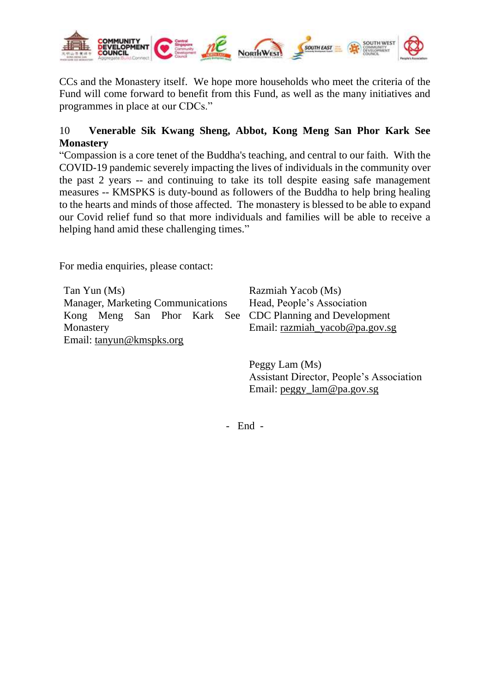

CCs and the Monastery itself. We hope more households who meet the criteria of the Fund will come forward to benefit from this Fund, as well as the many initiatives and programmes in place at our CDCs."

# 10 **Venerable Sik Kwang Sheng, Abbot, Kong Meng San Phor Kark See Monastery**

"Compassion is a core tenet of the Buddha's teaching, and central to our faith. With the COVID-19 pandemic severely impacting the lives of individuals in the community over the past 2 years -- and continuing to take its toll despite easing safe management measures -- KMSPKS is duty-bound as followers of the Buddha to help bring healing to the hearts and minds of those affected. The monastery is blessed to be able to expand our Covid relief fund so that more individuals and families will be able to receive a helping hand amid these challenging times."

For media enquiries, please contact:

Tan Yun (Ms) Manager, Marketing Communications Kong Meng San Phor Kark See CDC Planning and Development Monastery Email: [tanyun@kmspks.org](mailto:tanyun@kmspks.org)

Razmiah Yacob (Ms) Head, People's Association Email: [razmiah\\_yacob@pa.gov.sg](mailto:razmiah_yacob@pa.gov.sg)

Peggy Lam (Ms) Assistant Director, People's Association Email: [peggy\\_lam@pa.gov.sg](mailto:peggy_lam@pa.gov.sg)

- End -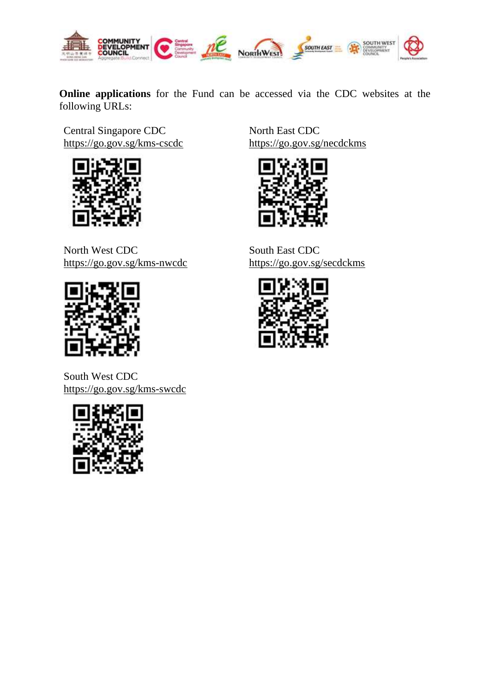

**Online applications** for the Fund can be accessed via the CDC websites at the following URLs:

Central Singapore CDC <https://go.gov.sg/kms-cscdc>



North East CDC <https://go.gov.sg/necdckms>



North West CDC <https://go.gov.sg/kms-nwcdc>



South West CDC <https://go.gov.sg/kms-swcdc>



South East CDC <https://go.gov.sg/secdckms>

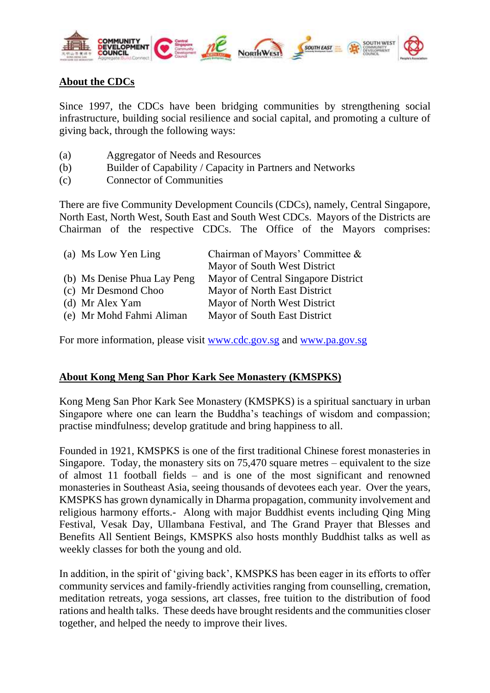

## **About the CDCs**

Since 1997, the CDCs have been bridging communities by strengthening social infrastructure, building social resilience and social capital, and promoting a culture of giving back, through the following ways:

- (a) Aggregator of Needs and Resources
- (b) Builder of Capability / Capacity in Partners and Networks
- (c) Connector of Communities

There are five Community Development Councils (CDCs), namely, Central Singapore, North East, North West, South East and South West CDCs. Mayors of the Districts are Chairman of the respective CDCs. The Office of the Mayors comprises:

| (a) Ms Low Yen Ling         | Chairman of Mayors' Committee &     |
|-----------------------------|-------------------------------------|
|                             | Mayor of South West District        |
| (b) Ms Denise Phua Lay Peng | Mayor of Central Singapore District |
| (c) Mr Desmond Choo         | Mayor of North East District        |
| (d) Mr Alex Yam             | Mayor of North West District        |
| (e) Mr Mohd Fahmi Aliman    | Mayor of South East District        |

For more information, please visit [www.cdc.gov.sg](http://www.cdc.gov.sg/) and [www.pa.gov.sg](http://www.pa.gov.sg/)

### **About Kong Meng San Phor Kark See Monastery (KMSPKS)**

Kong Meng San Phor Kark See Monastery (KMSPKS) is a spiritual sanctuary in urban Singapore where one can learn the Buddha's teachings of wisdom and compassion; practise mindfulness; develop gratitude and bring happiness to all.

Founded in 1921, KMSPKS is one of the first traditional Chinese forest monasteries in Singapore. Today, the monastery sits on 75,470 square metres – equivalent to the size of almost 11 football fields – and is one of the most significant and renowned monasteries in Southeast Asia, seeing thousands of devotees each year. Over the years, KMSPKS has grown dynamically in Dharma propagation, community involvement and religious harmony efforts.- Along with major Buddhist events including Qing Ming Festival, Vesak Day, Ullambana Festival, and The Grand Prayer that Blesses and Benefits All Sentient Beings, KMSPKS also hosts monthly Buddhist talks as well as weekly classes for both the young and old.

In addition, in the spirit of 'giving back', KMSPKS has been eager in its efforts to offer community services and family-friendly activities ranging from counselling, cremation, meditation retreats, yoga sessions, art classes, free tuition to the distribution of food rations and health talks. These deeds have brought residents and the communities closer together, and helped the needy to improve their lives.